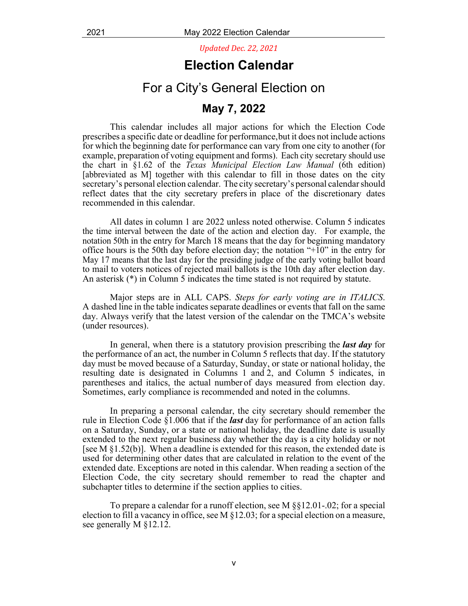*Updated Dec. 22, 2021*

## **Election Calendar**

## For a City's General Election on

## **May 7, 2022**

This calendar includes all major actions for which the Election Code prescribes a specific date or deadline for performance, but it does not include actions for which the beginning date for performance can vary from one city to another (for example, preparation of voting equipment and forms). Each city secretary should use the chart in §1.62 of the *Texas Municipal Election Law Manual* (6th edition) [abbreviated as M] together with this calendar to fill in those dates on the city secretary's personal election calendar. The city secretary's personal calendar should reflect dates that the city secretary prefers in place of the discretionary dates recommended in this calendar.

All dates in column 1 are 2022 unless noted otherwise. Column 5 indicates the time interval between the date of the action and election day. For example, the notation 50th in the entry for March 18 means that the day for beginning mandatory office hours is the 50th day before election day; the notation " $+10$ " in the entry for May 17 means that the last day for the presiding judge of the early voting ballot board to mail to voters notices of rejected mail ballots is the 10th day after election day. An asterisk (\*) in Column 5 indicates the time stated is not required by statute.

Major steps are in ALL CAPS. *Steps for early voting are in ITALICS*. A dashed line in the table indicates separate deadlines or events that fall on the same day. Always verify that the latest version of the calendar on the TMCA's website (under resources).

In general, when there is a statutory provision prescribing the *last day* for the performance of an act, the number in Column 5 reflects that day. If the statutory day must be moved because of a Saturday, Sunday, or state or national holiday, the resulting date is designated in Columns 1 and 2, and Column 5 indicates, in parentheses and italics, the actual number of days measured from election day. Sometimes, early compliance is recommended and noted in the columns.

In preparing a personal calendar, the city secretary should remember the rule in Election Code §1.006 that if the *last* day for performance of an action falls on a Saturday, Sunday, or a state or national holiday, the deadline date is usually extended to the next regular business day whether the day is a city holiday or not [see M  $\S 1.52(b)$ ]. When a deadline is extended for this reason, the extended date is used for determining other dates that are calculated in relation to the event of the extended date. Exceptions are noted in this calendar. When reading a section of the Election Code, the city secretary should remember to read the chapter and subchapter titles to determine if the section applies to cities.

To prepare a calendar for a runoff election, see M §§12.01-.02; for a special election to fill a vacancy in office, see M  $\S$ 12.03; for a special election on a measure, see generally M §12.12.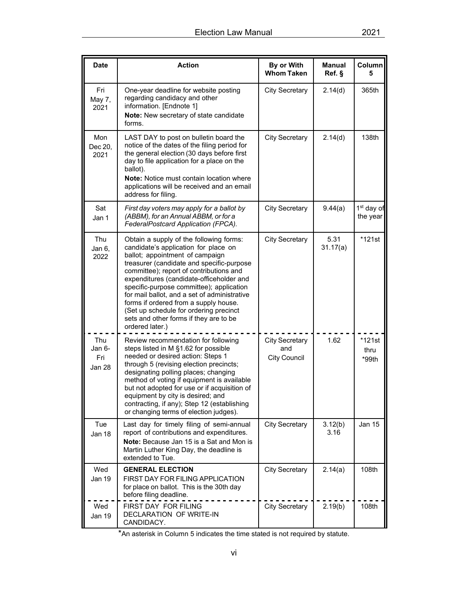| <b>Date</b>                    | <b>Action</b>                                                                                                                                                                                                                                                                                                                                                                                                                                                                                      | By or With<br><b>Whom Taken</b>                     | <b>Manual</b><br>Ref. § | Column<br>5                        |
|--------------------------------|----------------------------------------------------------------------------------------------------------------------------------------------------------------------------------------------------------------------------------------------------------------------------------------------------------------------------------------------------------------------------------------------------------------------------------------------------------------------------------------------------|-----------------------------------------------------|-------------------------|------------------------------------|
| Fri<br>May 7,<br>2021          | One-year deadline for website posting<br>regarding candidacy and other<br>information. [Endnote 1]<br>Note: New secretary of state candidate<br>forms.                                                                                                                                                                                                                                                                                                                                             | <b>City Secretary</b>                               | 2.14(d)                 | 365th                              |
| Mon<br>Dec 20,<br>2021         | LAST DAY to post on bulletin board the<br>notice of the dates of the filing period for<br>the general election (30 days before first<br>day to file application for a place on the<br>ballot).<br><b>Note:</b> Notice must contain location where<br>applications will be received and an email<br>address for filing.                                                                                                                                                                             | <b>City Secretary</b>                               | 2.14(d)                 | 138th                              |
| Sat<br>Jan 1                   | First day voters may apply for a ballot by<br>(ABBM), for an Annual ABBM, or for a<br>FederalPostcard Application (FPCA).                                                                                                                                                                                                                                                                                                                                                                          | <b>City Secretary</b>                               | 9.44(a)                 | 1 <sup>st</sup> day of<br>the year |
| Thu<br>Jan 6,<br>2022          | Obtain a supply of the following forms:<br>candidate's application for place on<br>ballot; appointment of campaign<br>treasurer (candidate and specific-purpose<br>committee); report of contributions and<br>expenditures (candidate-officeholder and<br>specific-purpose committee); application<br>for mail ballot, and a set of administrative<br>forms if ordered from a supply house.<br>(Set up schedule for ordering precinct<br>sets and other forms if they are to be<br>ordered later.) | <b>City Secretary</b>                               | 5.31<br>31.17(a)        | *121st                             |
| Thu<br>Jan 6-<br>Fri<br>Jan 28 | Review recommendation for following<br>steps listed in M §1.62 for possible<br>needed or desired action: Steps 1<br>through 5 (revising election precincts;<br>designating polling places; changing<br>method of voting if equipment is available<br>but not adopted for use or if acquisition of<br>equipment by city is desired; and<br>contracting, if any); Step 12 (establishing<br>or changing terms of election judges).                                                                    | <b>City Secretary</b><br>and<br><b>City Council</b> | 1.62                    | *121st<br>thru<br>*99th            |
| Tue<br>Jan 18                  | Last day for timely filing of semi-annual<br>report of contributions and expenditures.<br>Note: Because Jan 15 is a Sat and Mon is<br>Martin Luther King Day, the deadline is<br>extended to Tue.                                                                                                                                                                                                                                                                                                  | <b>City Secretary</b>                               | 3.12(b)<br>3.16         | Jan 15                             |
| Wed<br>Jan 19                  | <b>GENERAL ELECTION</b><br>FIRST DAY FOR FILING APPLICATION<br>for place on ballot. This is the 30th day<br>before filing deadline.                                                                                                                                                                                                                                                                                                                                                                | <b>City Secretary</b>                               | 2.14(a)                 | 108th                              |
| Wed<br>Jan 19                  | FIRST DAY FOR FILING<br>DECLARATION OF WRITE-IN<br>CANDIDACY.                                                                                                                                                                                                                                                                                                                                                                                                                                      | <b>City Secretary</b>                               | 2.19(b)                 | 108th                              |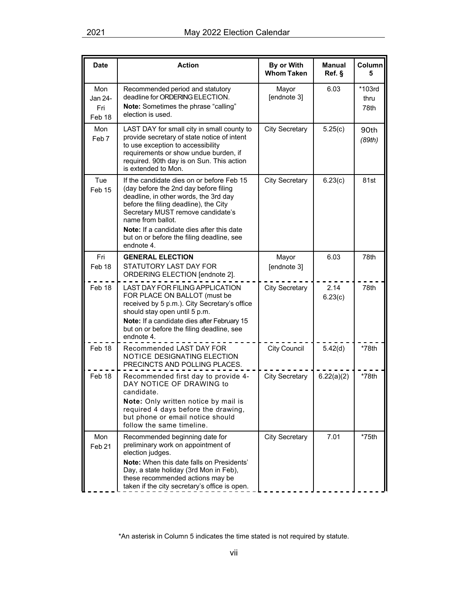| <b>Date</b>                                | <b>Action</b>                                                                                                                                                                                                                                                                                                                                 | By or With<br><b>Whom Taken</b> | <b>Manual</b><br>Ref. § | Column<br>5            |
|--------------------------------------------|-----------------------------------------------------------------------------------------------------------------------------------------------------------------------------------------------------------------------------------------------------------------------------------------------------------------------------------------------|---------------------------------|-------------------------|------------------------|
| Mon<br>Jan 24-<br>Fri<br>Feb <sub>18</sub> | Recommended period and statutory<br>deadline for ORDERING ELECTION.<br><b>Note:</b> Sometimes the phrase "calling"<br>election is used.                                                                                                                                                                                                       | Mayor<br>[endnote 3]            | 6.03                    | *103rd<br>thru<br>78th |
| Mon<br>Feb <sub>7</sub>                    | LAST DAY for small city in small county to<br>provide secretary of state notice of intent<br>to use exception to accessibility<br>requirements or show undue burden, if<br>required. 90th day is on Sun. This action<br>is extended to Mon.                                                                                                   | <b>City Secretary</b>           | 5.25(c)                 | 90th<br>(89th)         |
| Tue<br>Feb <sub>15</sub>                   | If the candidate dies on or before Feb 15<br>(day before the 2nd day before filing<br>deadline, in other words, the 3rd day<br>before the filing deadline), the City<br>Secretary MUST remove candidate's<br>name from ballot.<br><b>Note:</b> If a candidate dies after this date<br>but on or before the filing deadline, see<br>endnote 4. | <b>City Secretary</b>           | 6.23(c)                 | 81st                   |
| Fri                                        | <b>GENERAL ELECTION</b>                                                                                                                                                                                                                                                                                                                       | Mayor                           | 6.03                    | 78th                   |
| Feb <sub>18</sub>                          | STATUTORY LAST DAY FOR<br>ORDERING ELECTION [endnote 2].                                                                                                                                                                                                                                                                                      | [endnote 3]                     |                         |                        |
| Feb 18                                     | LAST DAY FOR FILING APPLICATION<br>FOR PLACE ON BALLOT (must be<br>received by 5 p.m.). City Secretary's office<br>should stay open until 5 p.m.<br>Note: If a candidate dies after February 15<br>but on or before the filing deadline, see<br>endnote 4.                                                                                    | <b>City Secretary</b>           | 2.14<br>6.23(c)         | 78th                   |
| Feb 18                                     | Recommended LAST DAY FOR<br><b>NOTICE DESIGNATING ELECTION</b><br>PRECINCTS AND POLLING PLACES.                                                                                                                                                                                                                                               | <b>City Council</b>             | 5.42(d)                 | $*78th$                |
| Feb 18                                     | Recommended first day to provide 4-<br>DAY NOTICE OF DRAWING to<br>candidate.<br>Note: Only written notice by mail is<br>required 4 days before the drawing,<br>but phone or email notice should<br>follow the same timeline.                                                                                                                 | <b>City Secretary</b>           | 6.22(a)(2)              | $*78th$                |
| Mon<br>Feb <sub>21</sub>                   | Recommended beginning date for<br>preliminary work on appointment of<br>election judges.<br>Note: When this date falls on Presidents'<br>Day, a state holiday (3rd Mon in Feb),<br>these recommended actions may be<br>taken if the city secretary's office is open.                                                                          | City Secretary                  | 7.01                    | $*75th$                |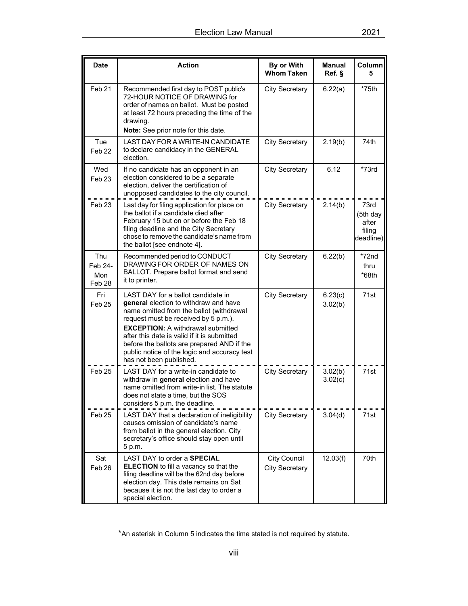| <b>Date</b>                                       | <b>Action</b>                                                                                                                                                                                                                                                                                                                                                                       | By or With<br><b>Whom Taken</b>              | <b>Manual</b><br>Ref. § | Column<br>5                                      |
|---------------------------------------------------|-------------------------------------------------------------------------------------------------------------------------------------------------------------------------------------------------------------------------------------------------------------------------------------------------------------------------------------------------------------------------------------|----------------------------------------------|-------------------------|--------------------------------------------------|
| Feb <sub>21</sub>                                 | Recommended first day to POST public's<br>72-HOUR NOTICE OF DRAWING for<br>order of names on ballot. Must be posted<br>at least 72 hours preceding the time of the<br>drawing.<br>Note: See prior note for this date.                                                                                                                                                               | <b>City Secretary</b>                        | 6.22(a)                 | $*75th$                                          |
| Tue<br>Feb <sub>22</sub>                          | LAST DAY FOR A WRITE-IN CANDIDATE<br>to declare candidacy in the GENERAL<br>election.                                                                                                                                                                                                                                                                                               | <b>City Secretary</b>                        | 2.19(b)                 | 74th                                             |
| Wed<br>Feb <sub>23</sub>                          | If no candidate has an opponent in an<br>election considered to be a separate<br>election, deliver the certification of<br>unopposed candidates to the city council.                                                                                                                                                                                                                | <b>City Secretary</b>                        | 6.12                    | $*73rd$                                          |
| Feb <sub>23</sub>                                 | Last day for filing application for place on<br>the ballot if a candidate died after<br>February 15 but on or before the Feb 18<br>filing deadline and the City Secretary<br>chose to remove the candidate's name from<br>the ballot [see endnote 4].                                                                                                                               | <b>City Secretary</b>                        | 2.14(b)                 | 73rd<br>(5th day<br>after<br>filing<br>deadline) |
| <b>Thu</b><br>Feb 24-<br>Mon<br>Feb <sub>28</sub> | Recommended period to CONDUCT<br>DRAWING FOR ORDER OF NAMES ON<br>BALLOT. Prepare ballot format and send<br>it to printer.                                                                                                                                                                                                                                                          | <b>City Secretary</b>                        | 6.22(b)                 | *72nd<br>thru<br>*68th                           |
| Fri<br>Feb <sub>25</sub>                          | LAST DAY for a ballot candidate in<br>general election to withdraw and have<br>name omitted from the ballot (withdrawal<br>request must be received by 5 p.m.).<br><b>EXCEPTION: A withdrawal submitted</b><br>after this date is valid if it is submitted<br>before the ballots are prepared AND if the<br>public notice of the logic and accuracy test<br>has not been published. | <b>City Secretary</b>                        | 6.23(c)<br>3.02(b)      | 71st                                             |
| Feb 25                                            | LAST DAY for a write-in candidate to<br>withdraw in general election and have<br>name omitted from write-in list. The statute<br>does not state a time, but the SOS<br>considers 5 p.m. the deadline.                                                                                                                                                                               | <b>City Secretary</b>                        | 3.02(b)<br>3.02(c)      | 71st                                             |
| Feb <sub>25</sub>                                 | LAST DAY that a declaration of ineligibility<br>causes omission of candidate's name<br>from ballot in the general election. City<br>secretary's office should stay open until<br>5 p.m.                                                                                                                                                                                             | <b>City Secretary</b>                        | 3.04(d)                 | 71st                                             |
| Sat<br>Feb <sub>26</sub>                          | LAST DAY to order a <b>SPECIAL</b><br><b>ELECTION</b> to fill a vacancy so that the<br>filing deadline will be the 62nd day before<br>election day. This date remains on Sat<br>because it is not the last day to order a<br>special election.                                                                                                                                      | <b>City Council</b><br><b>City Secretary</b> | 12.03(f)                | 70th                                             |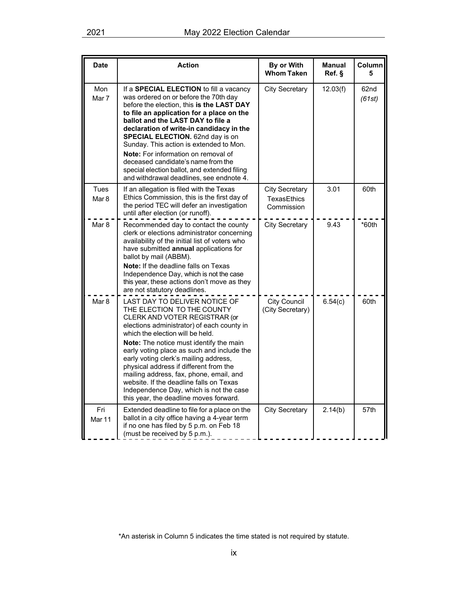| <b>Date</b>              | <b>Action</b>                                                                                                                                                                                                                                                                                                                                                                                                                                                                                                                         | By or With<br><b>Whom Taken</b>                           | <b>Manual</b><br>Ref. | Column<br>5    |
|--------------------------|---------------------------------------------------------------------------------------------------------------------------------------------------------------------------------------------------------------------------------------------------------------------------------------------------------------------------------------------------------------------------------------------------------------------------------------------------------------------------------------------------------------------------------------|-----------------------------------------------------------|-----------------------|----------------|
| Mon<br>Mar 7             | If a SPECIAL ELECTION to fill a vacancy<br>was ordered on or before the 70th day<br>before the election, this is the LAST DAY<br>to file an application for a place on the<br>ballot and the LAST DAY to file a<br>declaration of write-in candidacy in the<br><b>SPECIAL ELECTION.</b> 62nd day is on<br>Sunday. This action is extended to Mon.<br>Note: For information on removal of<br>deceased candidate's name from the<br>special election ballot, and extended filing<br>and withdrawal deadlines, see endnote 4.            | <b>City Secretary</b>                                     | 12.03(f)              | 62nd<br>(61st) |
| <b>Tues</b><br>Mar 8     | If an allegation is filed with the Texas<br>Ethics Commission, this is the first day of<br>the period TEC will defer an investigation<br>until after election (or runoff).                                                                                                                                                                                                                                                                                                                                                            | <b>City Secretary</b><br><b>TexasEthics</b><br>Commission | 3.01                  | 60th           |
| Mar 8                    | Recommended day to contact the county<br>clerk or elections administrator concerning<br>availability of the initial list of voters who<br>have submitted annual applications for<br>ballot by mail (ABBM).<br>Note: If the deadline falls on Texas<br>Independence Day, which is not the case<br>this year, these actions don't move as they<br>are not statutory deadlines.                                                                                                                                                          | <b>City Secretary</b>                                     | 9.43                  | *60th          |
| Mar <sub>8</sub>         | LAST DAY TO DELIVER NOTICE OF<br>THE ELECTION TO THE COUNTY<br>CLERK AND VOTER REGISTRAR (or<br>elections administrator) of each county in<br>which the election will be held.<br>Note: The notice must identify the main<br>early voting place as such and include the<br>early voting clerk's mailing address,<br>physical address if different from the<br>mailing address, fax, phone, email, and<br>website. If the deadline falls on Texas<br>Independence Day, which is not the case<br>this year, the deadline moves forward. | <b>City Council</b><br>(City Secretary)                   | 6.54(c)               | 60th           |
| Fri<br>Mar <sub>11</sub> | Extended deadline to file for a place on the<br>ballot in a city office having a 4-year term<br>if no one has filed by 5 p.m. on Feb 18<br>(must be received by 5 p.m.).                                                                                                                                                                                                                                                                                                                                                              | <b>City Secretary</b>                                     | 2.14(b)               | 57th           |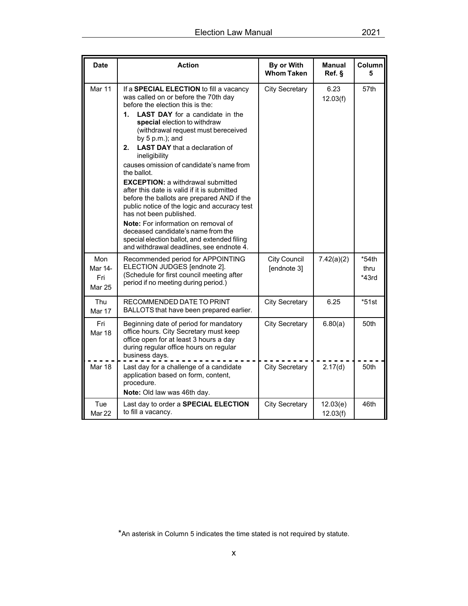| <b>Date</b>                            | <b>Action</b>                                                                                                                                                                                                                                                                                                                                                                                                                                                                                                                                                                                                                                                                                                                                                                                   | By or With<br><b>Whom Taken</b> | <b>Manual</b><br>Ref. § | Column<br>5                |
|----------------------------------------|-------------------------------------------------------------------------------------------------------------------------------------------------------------------------------------------------------------------------------------------------------------------------------------------------------------------------------------------------------------------------------------------------------------------------------------------------------------------------------------------------------------------------------------------------------------------------------------------------------------------------------------------------------------------------------------------------------------------------------------------------------------------------------------------------|---------------------------------|-------------------------|----------------------------|
| Mar 11                                 | If a SPECIAL ELECTION to fill a vacancy<br>was called on or before the 70th day<br>before the election this is the:<br><b>LAST DAY</b> for a candidate in the<br>1.<br>special election to withdraw<br>(withdrawal request must bereceived<br>by $5 p.m.$ ); and<br><b>LAST DAY</b> that a declaration of<br>2.<br>ineligibility<br>causes omission of candidate's name from<br>the ballot.<br><b>EXCEPTION: a withdrawal submitted</b><br>after this date is valid if it is submitted<br>before the ballots are prepared AND if the<br>public notice of the logic and accuracy test<br>has not been published.<br><b>Note:</b> For information on removal of<br>deceased candidate's name from the<br>special election ballot, and extended filing<br>and withdrawal deadlines, see endnote 4. | <b>City Secretary</b>           | 6.23<br>12.03(f)        | 57th                       |
| Mon<br>Mar 14-<br>Fri<br><b>Mar 25</b> | Recommended period for APPOINTING<br>ELECTION JUDGES [endnote 2].<br>(Schedule for first council meeting after<br>period if no meeting during period.)                                                                                                                                                                                                                                                                                                                                                                                                                                                                                                                                                                                                                                          | City Council<br>[endnote 3]     | 7.42(a)(2)              | $*54th$<br>thru<br>$*43rd$ |
| <b>Thu</b><br>Mar 17                   | RECOMMENDED DATE TO PRINT<br>BALLOTS that have been prepared earlier.                                                                                                                                                                                                                                                                                                                                                                                                                                                                                                                                                                                                                                                                                                                           | <b>City Secretary</b>           | 6.25                    | *51st                      |
| Fri<br><b>Mar 18</b>                   | Beginning date of period for mandatory<br>office hours. City Secretary must keep<br>office open for at least 3 hours a day<br>during regular office hours on regular<br>business days.                                                                                                                                                                                                                                                                                                                                                                                                                                                                                                                                                                                                          | <b>City Secretary</b>           | 6.80(a)                 | 50th                       |
| Mar 18                                 | Last day for a challenge of a candidate<br>application based on form, content,<br>procedure.<br>Note: Old law was 46th day.                                                                                                                                                                                                                                                                                                                                                                                                                                                                                                                                                                                                                                                                     | <b>City Secretary</b>           | 2.17(d)                 | 50th                       |
| Tue<br>Mar 22                          | Last day to order a SPECIAL ELECTION<br>to fill a vacancy.                                                                                                                                                                                                                                                                                                                                                                                                                                                                                                                                                                                                                                                                                                                                      | <b>City Secretary</b>           | 12.03(e)<br>12.03(f)    | 46th                       |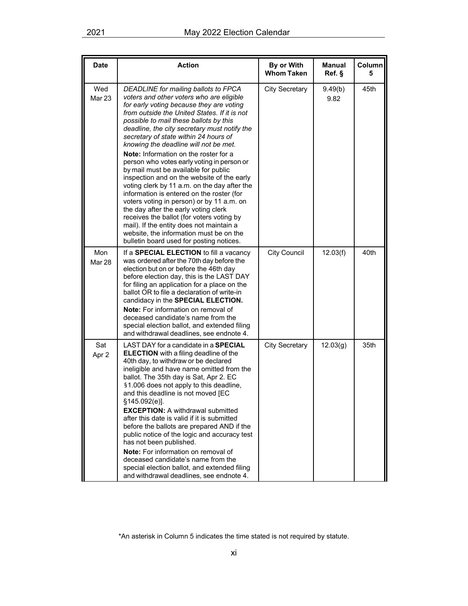| <b>Date</b>          | <b>Action</b>                                                                                                                                                                                                                                                                                                                                                                                                                                                                                                                                                                                                                                                                                                                                                                                                                                                                                           | By or With<br><b>Whom Taken</b> | <b>Manual</b><br>Ref. § | Column<br>5 |
|----------------------|---------------------------------------------------------------------------------------------------------------------------------------------------------------------------------------------------------------------------------------------------------------------------------------------------------------------------------------------------------------------------------------------------------------------------------------------------------------------------------------------------------------------------------------------------------------------------------------------------------------------------------------------------------------------------------------------------------------------------------------------------------------------------------------------------------------------------------------------------------------------------------------------------------|---------------------------------|-------------------------|-------------|
| Wed<br><b>Mar 23</b> | DEADLINE for mailing ballots to FPCA<br>voters and other voters who are eligible<br>for early voting because they are voting<br>from outside the United States. If it is not<br>possible to mail these ballots by this<br>deadline, the city secretary must notify the<br>secretary of state within 24 hours of<br>knowing the deadline will not be met.<br>Note: Information on the roster for a<br>person who votes early voting in person or<br>by mail must be available for public<br>inspection and on the website of the early<br>voting clerk by 11 a.m. on the day after the<br>information is entered on the roster (for<br>voters voting in person) or by 11 a.m. on<br>the day after the early voting clerk<br>receives the ballot (for voters voting by<br>mail). If the entity does not maintain a<br>website, the information must be on the<br>bulletin board used for posting notices. | <b>City Secretary</b>           | 9.49(b)<br>9.82         | 45th        |
| Mon<br><b>Mar 28</b> | If a <b>SPECIAL ELECTION</b> to fill a vacancy<br>was ordered after the 70th day before the<br>election but on or before the 46th day<br>before election day, this is the LAST DAY<br>for filing an application for a place on the<br>ballot OR to file a declaration of write-in<br>candidacy in the SPECIAL ELECTION.<br><b>Note:</b> For information on removal of<br>deceased candidate's name from the<br>special election ballot, and extended filing<br>and withdrawal deadlines, see endnote 4.                                                                                                                                                                                                                                                                                                                                                                                                 | <b>City Council</b>             | 12.03(f)                | 40th        |
| Sat<br>Apr 2         | LAST DAY for a candidate in a SPECIAL<br><b>ELECTION</b> with a filing deadline of the<br>40th day, to withdraw or be declared<br>ineligible and have name omitted from the<br>ballot. The 35th day is Sat, Apr 2. EC<br>§1.006 does not apply to this deadline,<br>and this deadline is not moved [EC<br>§145.092(e)].<br><b>EXCEPTION: A withdrawal submitted</b><br>after this date is valid if it is submitted<br>before the ballots are prepared AND if the<br>public notice of the logic and accuracy test<br>has not been published.<br>Note: For information on removal of<br>deceased candidate's name from the<br>special election ballot, and extended filing<br>and withdrawal deadlines, see endnote 4.                                                                                                                                                                                    | <b>City Secretary</b>           | 12.03(g)                | 35th        |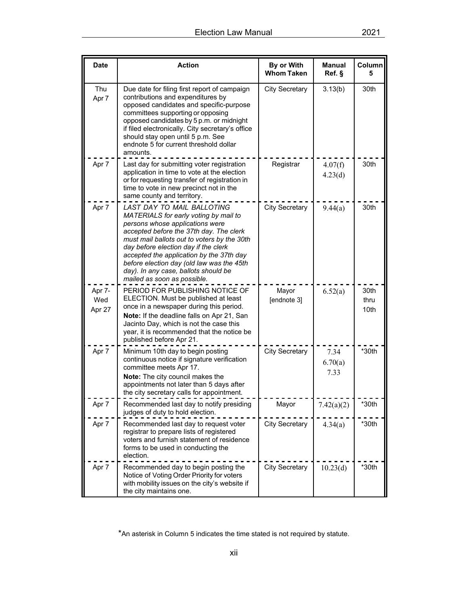| <b>Date</b>             | <b>Action</b>                                                                                                                                                                                                                                                                                                                                                                                            | By or With<br><b>Whom Taken</b> | <b>Manual</b><br>Ref. § | Column<br>5          |
|-------------------------|----------------------------------------------------------------------------------------------------------------------------------------------------------------------------------------------------------------------------------------------------------------------------------------------------------------------------------------------------------------------------------------------------------|---------------------------------|-------------------------|----------------------|
| Thu<br>Apr 7            | Due date for filing first report of campaign<br>contributions and expenditures by<br>opposed candidates and specific-purpose<br>committees supporting or opposing<br>opposed candidates by 5 p.m. or midnight<br>if filed electronically. City secretary's office<br>should stay open until 5 p.m. See<br>endnote 5 for current threshold dollar<br>amounts.                                             | <b>City Secretary</b>           | 3.13(b)                 | 30th                 |
| Apr 7                   | Last day for submitting voter registration<br>application in time to vote at the election<br>or for requesting transfer of registration in<br>time to vote in new precinct not in the<br>same county and territory.                                                                                                                                                                                      | Registrar                       | 4.07(f)<br>4.23(d)      | 30th                 |
| Apr 7                   | LAST DAY TO MAIL BALLOTING<br>MATERIALS for early voting by mail to<br>persons whose applications were<br>accepted before the 37th day. The clerk<br>must mail ballots out to voters by the 30th<br>day before election day if the clerk<br>accepted the application by the 37th day<br>before election day (old law was the 45th<br>day). In any case, ballots should be<br>mailed as soon as possible. | <b>City Secretary</b>           | 9.44(a)                 | 30th                 |
| Apr 7-<br>Wed<br>Apr 27 | PERIOD FOR PUBLISHING NOTICE OF<br>ELECTION. Must be published at least<br>once in a newspaper during this period.<br>Note: If the deadline falls on Apr 21, San<br>Jacinto Day, which is not the case this<br>year, it is recommended that the notice be<br>published before Apr 21.                                                                                                                    | Mayor<br>[endnote 3]            | 6.52(a)                 | 30th<br>thru<br>10th |
| Apr 7                   | Minimum 10th day to begin posting<br>continuous notice if signature verification<br>committee meets Apr 17.<br>Note: The city council makes the<br>appointments not later than 5 days after<br>the city secretary calls for appointment.                                                                                                                                                                 | <b>City Secretary</b>           | 7.34<br>6.70(a)<br>7.33 | *30th                |
| Apr 7                   | Recommended last day to notify presiding<br>judges of duty to hold election.                                                                                                                                                                                                                                                                                                                             | Mayor                           | 7.42(a)(2)              | $*30th$              |
| Apr 7                   | Recommended last day to request voter<br>registrar to prepare lists of registered<br>voters and furnish statement of residence<br>forms to be used in conducting the<br>election.                                                                                                                                                                                                                        | <b>City Secretary</b>           | 4.34(a)                 | $*30th$              |
| Apr 7                   | Recommended day to begin posting the<br>Notice of Voting Order Priority for voters<br>with mobility issues on the city's website if<br>the city maintains one.                                                                                                                                                                                                                                           | <b>City Secretary</b>           | 10.23(d)                | $*30th$              |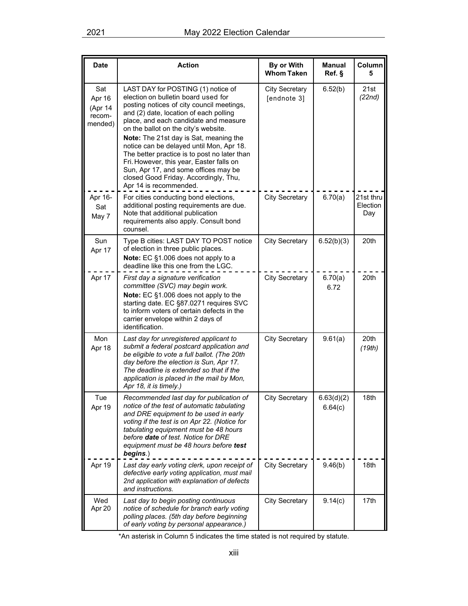| <b>Date</b>                                   | <b>Action</b>                                                                                                                                                                                                                                                                                                                                                                                                                                                                                                                                  | By or With<br><b>Whom Taken</b>      | <b>Manual</b><br>Ref. | Column<br>5                  |
|-----------------------------------------------|------------------------------------------------------------------------------------------------------------------------------------------------------------------------------------------------------------------------------------------------------------------------------------------------------------------------------------------------------------------------------------------------------------------------------------------------------------------------------------------------------------------------------------------------|--------------------------------------|-----------------------|------------------------------|
| Sat<br>Apr 16<br>(Apr 14<br>recom-<br>mended) | LAST DAY for POSTING (1) notice of<br>election on bulletin board used for<br>posting notices of city council meetings,<br>and (2) date, location of each polling<br>place, and each candidate and measure<br>on the ballot on the city's website.<br>Note: The 21st day is Sat, meaning the<br>notice can be delayed until Mon, Apr 18.<br>The better practice is to post no later than<br>Fri. However, this year, Easter falls on<br>Sun, Apr 17, and some offices may be<br>closed Good Friday. Accordingly, Thu,<br>Apr 14 is recommended. | <b>City Secretary</b><br>[endnote 3] | 6.52(b)               | 21st<br>(22nd)               |
| Apr 16-<br>Sat<br>May 7                       | For cities conducting bond elections,<br>additional posting requirements are due.<br>Note that additional publication<br>requirements also apply. Consult bond<br>counsel.                                                                                                                                                                                                                                                                                                                                                                     | <b>City Secretary</b>                | 6.70(a)               | 21st thru<br>Election<br>Day |
| Sun<br>Apr 17                                 | Type B cities: LAST DAY TO POST notice<br>of election in three public places.<br>Note: EC §1.006 does not apply to a<br>deadline like this one from the LGC.                                                                                                                                                                                                                                                                                                                                                                                   | <b>City Secretary</b>                | 6.52(b)(3)            | 20th                         |
| Apr 17                                        | First day a signature verification<br>committee (SVC) may begin work.<br>Note: EC §1.006 does not apply to the<br>starting date. EC §87.0271 requires SVC<br>to inform voters of certain defects in the<br>carrier envelope within 2 days of<br>identification.                                                                                                                                                                                                                                                                                | <b>City Secretary</b>                | 6.70(a)<br>6.72       | 20th                         |
| Mon<br>Apr 18                                 | Last day for unregistered applicant to<br>submit a federal postcard application and<br>be eligible to vote a full ballot. (The 20th<br>day before the election is Sun, Apr 17.<br>The deadline is extended so that if the<br>application is placed in the mail by Mon,<br>Apr 18, it is timely.)                                                                                                                                                                                                                                               | <b>City Secretary</b>                | 9.61(a)               | 20th<br>(19th)               |
| Tue<br>Apr 19                                 | Recommended last day for publication of<br>notice of the test of automatic tabulating<br>and DRE equipment to be used in early<br>voting if the test is on Apr 22. (Notice for<br>tabulating equipment must be 48 hours<br>before date of test. Notice for DRE<br>equipment must be 48 hours before test<br>begins.)                                                                                                                                                                                                                           | <b>City Secretary</b>                | 6.63(d)(2)<br>6.64(c) | 18th                         |
| Apr 19                                        | Last day early voting clerk, upon receipt of<br>defective early voting application, must mail<br>2nd application with explanation of defects<br>and instructions.                                                                                                                                                                                                                                                                                                                                                                              | <b>City Secretary</b>                | 9.46(b)               | 18th                         |
| Wed<br>Apr 20                                 | Last day to begin posting continuous<br>notice of schedule for branch early voting<br>polling places. (5th day before beginning<br>of early voting by personal appearance.)                                                                                                                                                                                                                                                                                                                                                                    | <b>City Secretary</b>                | 9.14(c)               | 17th                         |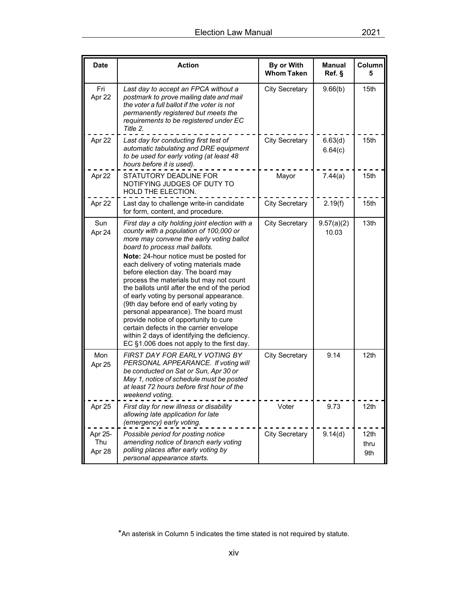| <b>Date</b>              | <b>Action</b>                                                                                                                                                                                                                                                                                                                                                                                                                                                                                                                                                                                                                                                                                                | By or With<br><b>Whom Taken</b> | <b>Manual</b><br>Ref. § | Column<br>5         |
|--------------------------|--------------------------------------------------------------------------------------------------------------------------------------------------------------------------------------------------------------------------------------------------------------------------------------------------------------------------------------------------------------------------------------------------------------------------------------------------------------------------------------------------------------------------------------------------------------------------------------------------------------------------------------------------------------------------------------------------------------|---------------------------------|-------------------------|---------------------|
| Fri<br>Apr 22            | Last day to accept an FPCA without a<br>postmark to prove mailing date and mail<br>the voter a full ballot if the voter is not<br>permanently registered but meets the<br>requirements to be registered under EC<br>Title 2.                                                                                                                                                                                                                                                                                                                                                                                                                                                                                 | <b>City Secretary</b>           | 9.66(b)                 | 15th                |
| Apr 22                   | Last day for conducting first test of<br>automatic tabulating and DRE equipment<br>to be used for early voting (at least 48<br>hours before it is used).                                                                                                                                                                                                                                                                                                                                                                                                                                                                                                                                                     | <b>City Secretary</b>           | 6.63(d)<br>6.64(c)      | 15th                |
| Apr 22                   | STATUTORY DEADLINE FOR<br>NOTIFYING JUDGES OF DUTY TO<br>HOLD THE ELECTION.                                                                                                                                                                                                                                                                                                                                                                                                                                                                                                                                                                                                                                  | Mayor                           | 7.44(a)                 | 15th                |
| Apr 22                   | Last day to challenge write-in candidate<br>for form, content, and procedure.                                                                                                                                                                                                                                                                                                                                                                                                                                                                                                                                                                                                                                | <b>City Secretary</b>           | 2.19(f)                 | 15th                |
| Sun<br>Apr 24            | First day a city holding joint election with a<br>county with a population of 100,000 or<br>more may convene the early voting ballot<br>board to process mail ballots.<br>Note: 24-hour notice must be posted for<br>each delivery of voting materials made<br>before election day. The board may<br>process the materials but may not count<br>the ballots until after the end of the period<br>of early voting by personal appearance.<br>(9th day before end of early voting by<br>personal appearance). The board must<br>provide notice of opportunity to cure<br>certain defects in the carrier envelope<br>within 2 days of identifying the deficiency.<br>EC §1.006 does not apply to the first day. | <b>City Secretary</b>           | 9.57(a)(2)<br>10.03     | 13th                |
| Mon<br>Apr 25            | <b>FIRST DAY FOR EARLY VOTING BY</b><br>PERSONAL APPEARANCE. If voting will<br>be conducted on Sat or Sun, Apr 30 or<br>May 1, notice of schedule must be posted<br>at least 72 hours before first hour of the<br>weekend voting.                                                                                                                                                                                                                                                                                                                                                                                                                                                                            | <b>City Secretary</b>           | 9.14                    | 12 <sub>th</sub>    |
| Apr 25                   | First day for new illness or disability<br>allowing late application for late<br>(emergency) early voting.                                                                                                                                                                                                                                                                                                                                                                                                                                                                                                                                                                                                   | Voter                           | 9.73                    | 12th                |
| Apr 25-<br>Thu<br>Apr 28 | Possible period for posting notice<br>amending notice of branch early voting<br>polling places after early voting by<br>personal appearance starts.                                                                                                                                                                                                                                                                                                                                                                                                                                                                                                                                                          | <b>City Secretary</b>           | 9.14(d)                 | 12th<br>thru<br>9th |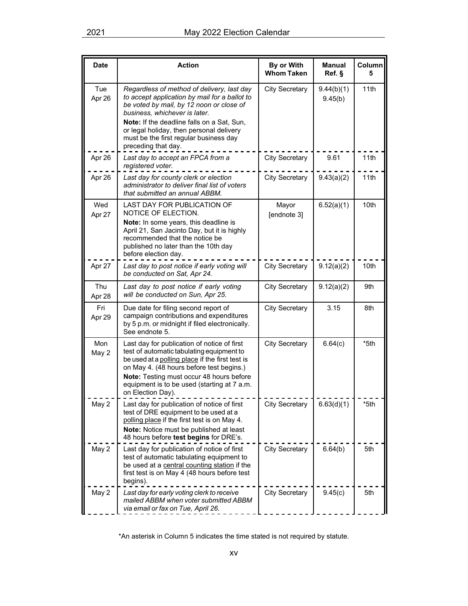| <b>Date</b>   | <b>Action</b>                                                                                                                                                                                                                                                                                           | By or With<br><b>Whom Taken</b> | <b>Manual</b><br>Ref. § | Column<br>5 |
|---------------|---------------------------------------------------------------------------------------------------------------------------------------------------------------------------------------------------------------------------------------------------------------------------------------------------------|---------------------------------|-------------------------|-------------|
| Tue<br>Apr 26 | Regardless of method of delivery, last day<br>to accept application by mail for a ballot to<br>be voted by mail, by 12 noon or close of<br>business, whichever is later.<br>Note: If the deadline falls on a Sat, Sun,<br>or legal holiday, then personal delivery                                      | <b>City Secretary</b>           | 9.44(b)(1)<br>9.45(b)   | 11th        |
|               | must be the first regular business day<br>preceding that day.                                                                                                                                                                                                                                           |                                 |                         |             |
| Apr 26        | Last day to accept an FPCA from a<br>registered voter.                                                                                                                                                                                                                                                  | <b>City Secretary</b>           | 9.61                    | 11th        |
| Apr 26        | Last day for county clerk or election<br>administrator to deliver final list of voters<br>that submitted an annual ABBM.                                                                                                                                                                                | <b>City Secretary</b>           | 9.43(a)(2)              | 11th        |
| Wed<br>Apr 27 | LAST DAY FOR PUBLICATION OF<br>NOTICE OF ELECTION.<br>Note: In some years, this deadline is<br>April 21, San Jacinto Day, but it is highly<br>recommended that the notice be<br>published no later than the 10th day<br>before election day.                                                            | Mayor<br>[endnote 3]            | 6.52(a)(1)              | 10th        |
| Apr 27        | Last day to post notice if early voting will<br>be conducted on Sat, Apr 24.                                                                                                                                                                                                                            | <b>City Secretary</b>           | 9.12(a)(2)              | 10th        |
| Thu<br>Apr 28 | Last day to post notice if early voting<br>will be conducted on Sun, Apr 25.                                                                                                                                                                                                                            | <b>City Secretary</b>           | 9.12(a)(2)              | 9th         |
| Fri<br>Apr 29 | Due date for filing second report of<br>campaign contributions and expenditures<br>by 5 p.m. or midnight if filed electronically.<br>See endnote 5.                                                                                                                                                     | <b>City Secretary</b>           | 3.15                    | 8th         |
| Mon<br>May 2  | Last day for publication of notice of first<br>test of automatic tabulating equipment to<br>be used at a polling place if the first test is<br>on May 4. (48 hours before test begins.)<br>Note: Testing must occur 48 hours before<br>equipment is to be used (starting at 7 a.m.<br>on Election Day). | <b>City Secretary</b>           | 6.64(c)                 | *5th        |
| May 2         | Last day for publication of notice of first<br>test of DRE equipment to be used at a<br>polling place if the first test is on May 4.<br>Note: Notice must be published at least<br>48 hours before test begins for DRE's.                                                                               | <b>City Secretary</b>           | 6.63(d)(1)              | *5th        |
| May 2         | Last day for publication of notice of first<br>test of automatic tabulating equipment to<br>be used at a central counting station if the<br>first test is on May 4 (48 hours before test<br>begins).                                                                                                    | <b>City Secretary</b>           | 6.64(b)                 | 5th         |
| May 2         | Last day for early voting clerk to receive<br>mailed ABBM when voter submitted ABBM<br>via email or fax on Tue, April 26.                                                                                                                                                                               | <b>City Secretary</b>           | 9.45(c)                 | 5th         |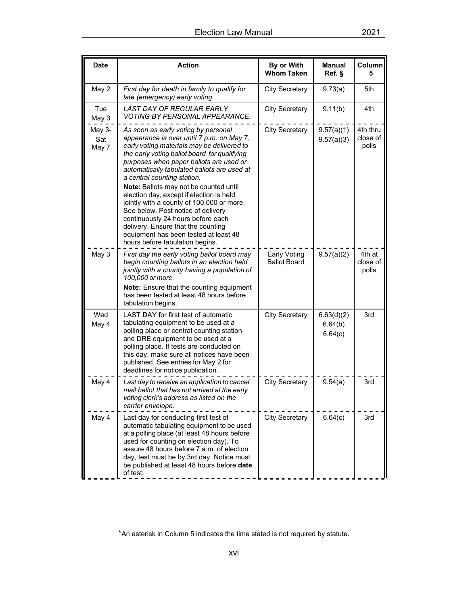| <b>Date</b>            | <b>Action</b>                                                                                                                                                                                                                                                                                                                        | By or With<br><b>Whom Taken</b>     | <b>Manual</b><br>Ref. §          | Column<br>5                   |
|------------------------|--------------------------------------------------------------------------------------------------------------------------------------------------------------------------------------------------------------------------------------------------------------------------------------------------------------------------------------|-------------------------------------|----------------------------------|-------------------------------|
| May 2                  | First day for death in family to qualify for<br>late (emergency) early voting.                                                                                                                                                                                                                                                       | <b>City Secretary</b>               | 9.73(a)                          | 5th                           |
| Tue<br>May 3           | LAST DAY OF REGULAR EARLY<br>VOTING BY PERSONAL APPEARANCE.                                                                                                                                                                                                                                                                          | <b>City Secretary</b>               | 9.11(b)                          | 4th                           |
| May 3-<br>Sat<br>May 7 | As soon as early voting by personal<br>appearance is over until 7 p.m. on May 7,<br>early voting materials may be delivered to<br>the early voting ballot board for qualifying<br>purposes when paper ballots are used or<br>automatically tabulated ballots are used at<br>a central counting station.                              | <b>City Secretary</b>               | 9.57(a)(1)<br>9.57(a)(3)         | 4th thru<br>close of<br>polls |
|                        | Note: Ballots may not be counted until<br>election day, except if election is held<br>jointly with a county of 100,000 or more.<br>See below. Post notice of delivery<br>continuously 24 hours before each<br>delivery. Ensure that the counting<br>equipment has been tested at least 48<br>hours before tabulation begins.         |                                     |                                  |                               |
| May 3                  | First day the early voting ballot board may<br>begin counting ballots in an election held<br>jointly with a county having a population of<br>100,000 or more.<br>Note: Ensure that the counting equipment                                                                                                                            | Early Voting<br><b>Ballot Board</b> | 9.57(a)(2)                       | 4th at<br>close of<br>polls   |
|                        | has been tested at least 48 hours before<br>tabulation begins.                                                                                                                                                                                                                                                                       |                                     |                                  |                               |
| Wed<br>May 4           | LAST DAY for first test of automatic<br>tabulating equipment to be used at a<br>polling place or central counting station<br>and DRE equipment to be used at a<br>polling place. If tests are conducted on<br>this day, make sure all notices have been<br>published. See entries for May 2 for<br>deadlines for notice publication. | <b>City Secretary</b>               | 6.63(d)(2)<br>6.64(b)<br>6.64(c) | 3rd                           |
| May 4                  | Last day to receive an application to cancel<br>mail ballot that has not arrived at the early<br>voting clerk's address as listed on the<br>carrier envelope.                                                                                                                                                                        | <b>City Secretary</b>               | 9.54(a)                          | 3rd                           |
| May 4                  | Last day for conducting first test of<br>automatic tabulating equipment to be used<br>at a polling place (at least 48 hours before<br>used for counting on election day). To<br>assure 48 hours before 7 a.m. of election<br>day, test must be by 3rd day. Notice must<br>be published at least 48 hours before date<br>of test.     | <b>City Secretary</b>               | 6.64(c)                          | 3rd                           |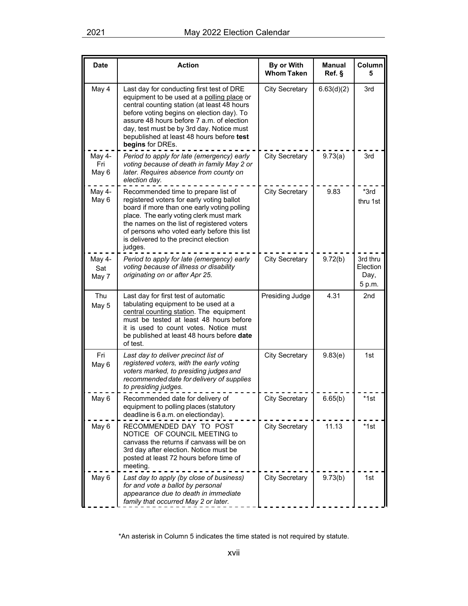| <b>Date</b>            | <b>Action</b>                                                                                                                                                                                                                                                                                                                                  | By or With<br><b>Whom Taken</b> | <b>Manual</b><br>Ref. § | Column<br>5                            |
|------------------------|------------------------------------------------------------------------------------------------------------------------------------------------------------------------------------------------------------------------------------------------------------------------------------------------------------------------------------------------|---------------------------------|-------------------------|----------------------------------------|
| May 4                  | Last day for conducting first test of DRE<br>equipment to be used at a polling place or<br>central counting station (at least 48 hours<br>before voting begins on election day). To<br>assure 48 hours before 7 a.m. of election<br>day, test must be by 3rd day. Notice must<br>bepublished at least 48 hours before test<br>begins for DREs. | <b>City Secretary</b>           | 6.63(d)(2)              | 3rd                                    |
| May 4-<br>Fri<br>May 6 | Period to apply for late (emergency) early<br>voting because of death in family May 2 or<br>later. Requires absence from county on<br>election day.                                                                                                                                                                                            | <b>City Secretary</b>           | 9.73(a)                 | 3rd                                    |
| May 4-<br>May 6        | Recommended time to prepare list of<br>registered voters for early voting ballot<br>board if more than one early voting polling<br>place. The early voting clerk must mark<br>the names on the list of registered voters<br>of persons who voted early before this list<br>is delivered to the precinct election<br>judges.                    | <b>City Secretary</b>           | 9.83                    | *3rd<br>thru 1st                       |
| May 4-<br>Sat<br>May 7 | Period to apply for late (emergency) early<br>voting because of illness or disability<br>originating on or after Apr 25.                                                                                                                                                                                                                       | <b>City Secretary</b>           | 9.72(b)                 | 3rd thru<br>Election<br>Day,<br>5 p.m. |
| Thu<br>May 5           | Last day for first test of automatic<br>tabulating equipment to be used at a<br>central counting station. The equipment<br>must be tested at least 48 hours before<br>it is used to count votes. Notice must<br>be published at least 48 hours before date<br>of test.                                                                         | Presiding Judge                 | 4.31                    | 2 <sub>nd</sub>                        |
| Fri<br>May 6           | Last day to deliver precinct list of<br>registered voters, with the early voting<br>voters marked, to presiding judges and<br>recommended date for delivery of supplies<br>to presiding judges.                                                                                                                                                | <b>City Secretary</b>           | 9.83(e)                 | 1st                                    |
| iviay v                | Recommended date for delivery of<br>equipment to polling places (statutory<br>deadline is 6 a.m. on electionday).                                                                                                                                                                                                                              | <b>City Secretary</b>           | 6.65(b)                 | $*1st$                                 |
| May 6                  | RECOMMENDED DAY TO POST<br>NOTICE OF COUNCIL MEETING to<br>canvass the returns if canvass will be on<br>3rd day after election. Notice must be<br>posted at least 72 hours before time of<br>meeting.                                                                                                                                          | <b>City Secretary</b>           | 11.13                   | $*1st$                                 |
| May 6                  | Last day to apply (by close of business)<br>for and vote a ballot by personal<br>appearance due to death in immediate<br>family that occurred May 2 or later.                                                                                                                                                                                  | <b>City Secretary</b>           | 9.73(b)                 | 1st                                    |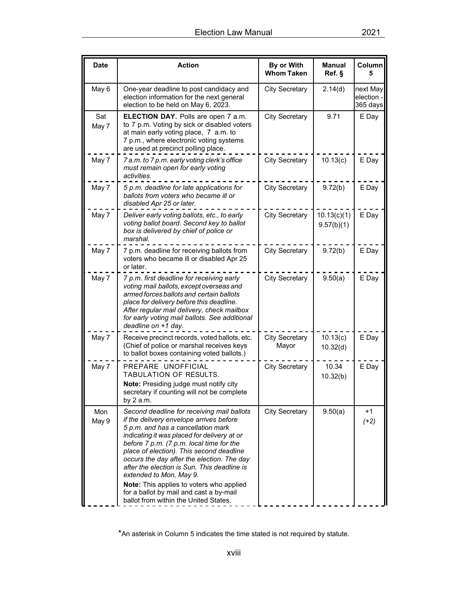| <b>Date</b>  | <b>Action</b>                                                                                                                                                                                                                                                                                                                                                                                                                                                                                                              | By or With<br><b>Whom Taken</b> | <b>Manual</b><br>Ref. §   | Column<br>5                      |
|--------------|----------------------------------------------------------------------------------------------------------------------------------------------------------------------------------------------------------------------------------------------------------------------------------------------------------------------------------------------------------------------------------------------------------------------------------------------------------------------------------------------------------------------------|---------------------------------|---------------------------|----------------------------------|
| May 6        | One-year deadline to post candidacy and<br>election information for the next general<br>election to be held on May 6, 2023.                                                                                                                                                                                                                                                                                                                                                                                                | <b>City Secretary</b>           | 2.14(d)                   | next May<br>election<br>365 days |
| Sat<br>May 7 | <b>ELECTION DAY.</b> Polls are open 7 a.m.<br>to 7 p.m. Voting by sick or disabled voters<br>at main early voting place, 7 a.m. to<br>7 p.m., where electronic voting systems<br>are used at precinct polling place.                                                                                                                                                                                                                                                                                                       | <b>City Secretary</b>           | 9.71                      | E Day                            |
| May 7        | 7 a.m. to 7 p.m. early voting clerk's office<br>must remain open for early voting<br>activities.                                                                                                                                                                                                                                                                                                                                                                                                                           | <b>City Secretary</b>           | 10.13(c)                  | E Day                            |
| May 7        | 5 p.m. deadline for late applications for<br>ballots from voters who became ill or<br>disabled Apr 25 or later.                                                                                                                                                                                                                                                                                                                                                                                                            | <b>City Secretary</b>           | 9.72(b)                   | E Day                            |
| May 7        | Deliver early voting ballots, etc., to early<br>voting ballot board. Second key to ballot<br>box is delivered by chief of police or<br>marshal.                                                                                                                                                                                                                                                                                                                                                                            | <b>City Secretary</b>           | 10.13(c)(1)<br>9.57(b)(1) | E Day                            |
| May 7        | 7 p.m. deadline for receiving ballots from<br>voters who became ill or disabled Apr 25<br>or later.                                                                                                                                                                                                                                                                                                                                                                                                                        | <b>City Secretary</b>           | 9.72(b)                   | E Day                            |
| May 7        | 7 p.m. first deadline for receiving early<br>voting mail ballots, except overseas and<br>armed forces ballots and certain ballots<br>place for delivery before this deadline.<br>After regular mail delivery, check mailbox<br>for early voting mail ballots. See additional<br>deadline on +1 day.                                                                                                                                                                                                                        | <b>City Secretary</b>           | 9.50(a)                   | E Day                            |
| May 7        | Receive precinct records, voted ballots, etc.<br>(Chief of police or marshal receives keys<br>to ballot boxes containing voted ballots.)                                                                                                                                                                                                                                                                                                                                                                                   | <b>City Secretary</b><br>Mayor  | 10.13(c)<br>10.32(d)      | E Day                            |
| May 7        | PREPARE UNOFFICIAL<br><b>TABULATION OF RESULTS.</b><br>Note: Presiding judge must notify city<br>secretary if counting will not be complete<br>by 2 a.m.                                                                                                                                                                                                                                                                                                                                                                   | <b>City Secretary</b>           | 10.34<br>10.32(b)         | E Day                            |
| Mon<br>May 9 | Second deadline for receiving mail ballots<br>if the delivery envelope arrives before<br>5 p.m. and has a cancellation mark<br>indicating it was placed for delivery at or<br>before 7 p.m. (7 p.m. local time for the<br>place of election). This second deadline<br>occurs the day after the election. The day<br>after the election is Sun. This deadline is<br>extended to Mon, May 9.<br>Note: This applies to voters who applied<br>for a ballot by mail and cast a by-mail<br>ballot from within the United States. | <b>City Secretary</b>           | 9.50(a)                   | +1<br>$(+2)$                     |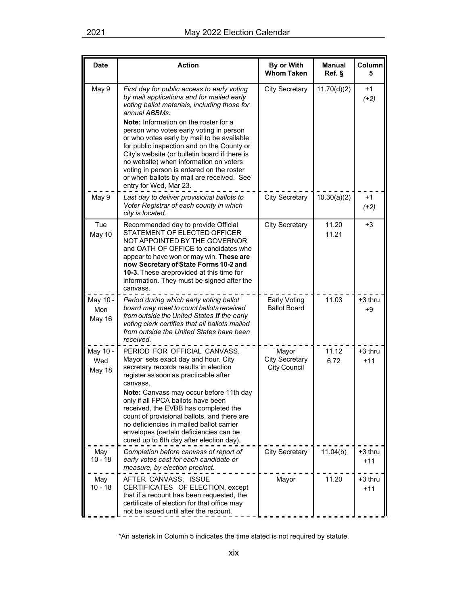| <b>Date</b>               | <b>Action</b>                                                                                                                                                                                                                                                                                                                                                                                                                                                                                                                                                   | By or With<br><b>Whom Taken</b>                       | <b>Manual</b><br>Ref. § | Column<br>5        |
|---------------------------|-----------------------------------------------------------------------------------------------------------------------------------------------------------------------------------------------------------------------------------------------------------------------------------------------------------------------------------------------------------------------------------------------------------------------------------------------------------------------------------------------------------------------------------------------------------------|-------------------------------------------------------|-------------------------|--------------------|
| May 9                     | First day for public access to early voting<br>by mail applications and for mailed early<br>voting ballot materials, including those for<br>annual ABBMs.<br><b>Note:</b> Information on the roster for a<br>person who votes early voting in person<br>or who votes early by mail to be available<br>for public inspection and on the County or<br>City's website (or bulletin board if there is<br>no website) when information on voters<br>voting in person is entered on the roster<br>or when ballots by mail are received. See<br>entry for Wed, Mar 23. | <b>City Secretary</b>                                 | 11.70(d)(2)             | $+1$<br>$(+2)$     |
| May 9                     | Last day to deliver provisional ballots to<br>Voter Registrar of each county in which<br>city is located.                                                                                                                                                                                                                                                                                                                                                                                                                                                       | <b>City Secretary</b>                                 | 10.30(a)(2)             | $+1$<br>$(+2)$     |
| Tue<br>May 10             | Recommended day to provide Official<br>STATEMENT OF ELECTED OFFICER<br>NOT APPOINTED BY THE GOVERNOR<br>and OATH OF OFFICE to candidates who<br>appear to have won or may win. These are<br>now Secretary of State Forms 10-2 and<br>10-3. These areprovided at this time for<br>information. They must be signed after the<br>canvass.                                                                                                                                                                                                                         | <b>City Secretary</b>                                 | 11.20<br>11.21          | $+3$               |
| May 10 -<br>Mon<br>May 16 | Period during which early voting ballot<br>board may meet to count ballots received<br>from outside the United States if the early<br>voting clerk certifies that all ballots mailed<br>from outside the United States have been<br>received.                                                                                                                                                                                                                                                                                                                   | Early Voting<br><b>Ballot Board</b>                   | 11.03                   | $+3$ thru<br>$+9$  |
| May 10 -<br>Wed<br>May 18 | PERIOD FOR OFFICIAL CANVASS.<br>Mayor sets exact day and hour. City<br>secretary records results in election<br>register as soon as practicable after<br>canvass.<br>Note: Canvass may occur before 11th day<br>only if all FPCA ballots have been<br>received, the EVBB has completed the<br>count of provisional ballots, and there are<br>no deficiencies in mailed ballot carrier<br>envelopes (certain deficiencies can be<br>cured up to 6th day after election day).                                                                                     | Mayor<br><b>City Secretary</b><br><b>City Council</b> | 11.12<br>6.72           | +3 thru<br>$+11$   |
| May<br>$10 - 18$          | Completion before canvass of report of<br>early votes cast for each candidate or<br>measure, by election precinct.                                                                                                                                                                                                                                                                                                                                                                                                                                              | <b>City Secretary</b>                                 | 11.04(b)                | $+3$ thru<br>$+11$ |
| May<br>$10 - 18$          | AFTER CANVASS, ISSUE<br>CERTIFICATES OF ELECTION, except<br>that if a recount has been requested, the<br>certificate of election for that office may<br>not be issued until after the recount.                                                                                                                                                                                                                                                                                                                                                                  | Mayor                                                 | 11.20                   | +3 thru<br>$+11$   |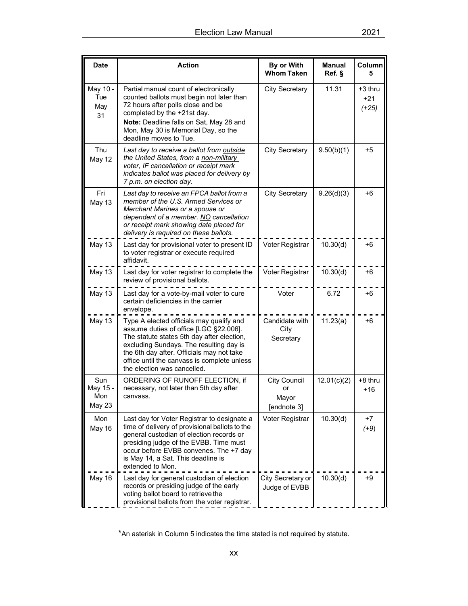| <b>Date</b>                      | <b>Action</b>                                                                                                                                                                                                                                                                                          | By or With<br><b>Whom Taken</b>                   | <b>Manual</b><br>Ref. § | Column<br>5                 |
|----------------------------------|--------------------------------------------------------------------------------------------------------------------------------------------------------------------------------------------------------------------------------------------------------------------------------------------------------|---------------------------------------------------|-------------------------|-----------------------------|
| May 10 -<br>Tue<br>May<br>31     | Partial manual count of electronically<br>counted ballots must begin not later than<br>72 hours after polls close and be<br>completed by the +21st day.<br>Note: Deadline falls on Sat, May 28 and<br>Mon, May 30 is Memorial Day, so the<br>deadline moves to Tue.                                    | <b>City Secretary</b>                             | 11.31                   | +3 thru<br>$+21$<br>$(+25)$ |
| Thu<br>May 12                    | Last day to receive a ballot from outside<br>the United States, from a non-military<br>voter, IF cancellation or receipt mark<br>indicates ballot was placed for delivery by<br>7 p.m. on election day.                                                                                                | <b>City Secretary</b>                             | 9.50(b)(1)              | +5                          |
| Fri<br>May 13                    | Last day to receive an FPCA ballot from a<br>member of the U.S. Armed Services or<br>Merchant Marines or a spouse or<br>dependent of a member. NO cancellation<br>or receipt mark showing date placed for<br>delivery is required on these ballots.                                                    | <b>City Secretary</b>                             | 9.26(d)(3)              | $+6$                        |
| May 13                           | Last day for provisional voter to present ID<br>to voter registrar or execute required<br>affidavit.                                                                                                                                                                                                   | Voter Registrar                                   | 10.30(d)                | +6                          |
| May 13                           | Last day for voter registrar to complete the<br>review of provisional ballots.                                                                                                                                                                                                                         | Voter Registrar                                   | 10.30(d)                | +6                          |
| May 13                           | Last day for a vote-by-mail voter to cure<br>certain deficiencies in the carrier<br>envelope.                                                                                                                                                                                                          | Voter                                             | 6.72                    | +6                          |
| May 13                           | Type A elected officials may qualify and<br>assume duties of office [LGC §22.006].<br>The statute states 5th day after election,<br>excluding Sundays. The resulting day is<br>the 6th day after. Officials may not take<br>office until the canvass is complete unless<br>the election was cancelled. | Candidate with<br>City<br>Secretary               | 11.23(a)                | +6                          |
| Sun<br>May 15 -<br>Mon<br>May 23 | ORDERING OF RUNOFF ELECTION, if<br>necessary, not later than 5th day after<br>canvass.                                                                                                                                                                                                                 | <b>City Council</b><br>or<br>Mayor<br>[endnote 3] | 12.01(c)(2)             | +8 thru<br>$+16$            |
| Mon<br>May 16                    | Last day for Voter Registrar to designate a<br>time of delivery of provisional ballots to the<br>general custodian of election records or<br>presiding judge of the EVBB. Time must<br>occur before EVBB convenes. The +7 day<br>is May 14, a Sat. This deadline is<br>extended to Mon.                | Voter Registrar                                   | 10.30(d)                | +7<br>$(+9)$                |
| May 16                           | Last day for general custodian of election<br>records or presiding judge of the early<br>voting ballot board to retrieve the<br>provisional ballots from the voter registrar.                                                                                                                          | City Secretary or<br>Judge of EVBB                | 10.30(d)                | +9                          |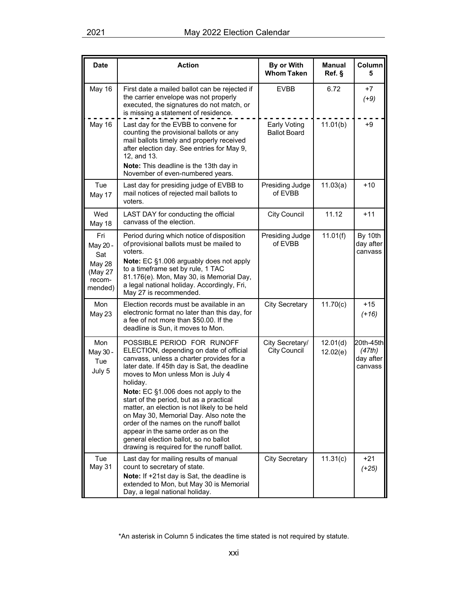| <b>Date</b>                                                             | <b>Action</b>                                                                                                                                                                                                                                                                                                                                                                                                                                                                                                                                                            | By or With<br><b>Whom Taken</b>        | <b>Manual</b><br>Ref. § | Column<br>5                                 |
|-------------------------------------------------------------------------|--------------------------------------------------------------------------------------------------------------------------------------------------------------------------------------------------------------------------------------------------------------------------------------------------------------------------------------------------------------------------------------------------------------------------------------------------------------------------------------------------------------------------------------------------------------------------|----------------------------------------|-------------------------|---------------------------------------------|
| May 16                                                                  | First date a mailed ballot can be rejected if<br>the carrier envelope was not properly<br>executed, the signatures do not match, or<br>is missing a statement of residence.                                                                                                                                                                                                                                                                                                                                                                                              | <b>EVBB</b>                            | 6.72                    | +7<br>$(+9)$                                |
| May 16                                                                  | Last day for the EVBB to convene for<br>counting the provisional ballots or any<br>mail ballots timely and properly received<br>after election day. See entries for May 9,<br>12, and 13.<br>Note: This deadline is the 13th day in<br>November of even-numbered years.                                                                                                                                                                                                                                                                                                  | Early Voting<br><b>Ballot Board</b>    | 11.01(b)                | $+9$                                        |
| Tue<br>May 17                                                           | Last day for presiding judge of EVBB to<br>mail notices of rejected mail ballots to<br>voters.                                                                                                                                                                                                                                                                                                                                                                                                                                                                           | Presiding Judge<br>of EVBB             | 11.03(a)                | $+10$                                       |
| Wed<br>May 18                                                           | LAST DAY for conducting the official<br>canvass of the election.                                                                                                                                                                                                                                                                                                                                                                                                                                                                                                         | <b>City Council</b>                    | 11.12                   | $+11$                                       |
| Fri<br>May 20 -<br>Sat<br><b>May 28</b><br>(May 27<br>recom-<br>mended) | Period during which notice of disposition<br>of provisional ballots must be mailed to<br>voters.<br>Note: EC §1.006 arguably does not apply<br>to a timeframe set by rule, 1 TAC<br>81.176(e). Mon, May 30, is Memorial Day,<br>a legal national holiday. Accordingly, Fri,<br>May 27 is recommended.                                                                                                                                                                                                                                                                    | Presiding Judge<br>of EVBB             | 11.01(f)                | By 10th<br>day after<br>canvass             |
| Mon<br>May 23                                                           | Election records must be available in an<br>electronic format no later than this day, for<br>a fee of not more than \$50.00. If the<br>deadline is Sun, it moves to Mon.                                                                                                                                                                                                                                                                                                                                                                                                 | <b>City Secretary</b>                  | 11.70(c)                | $+15$<br>$(+16)$                            |
| Mon<br>May 30 -<br>Tue<br>July 5                                        | POSSIBLE PERIOD FOR RUNOFF<br>ELECTION, depending on date of official<br>canvass, unless a charter provides for a<br>later date. If 45th day is Sat, the deadline<br>moves to Mon unless Mon is July 4<br>holiday.<br>Note: EC §1.006 does not apply to the<br>start of the period, but as a practical<br>matter, an election is not likely to be held<br>on May 30, Memorial Day. Also note the<br>order of the names on the runoff ballot<br>appear in the same order as on the<br>general election ballot, so no ballot<br>drawing is required for the runoff ballot. | City Secretary/<br><b>City Council</b> | 12.01(d)<br>12.02(e)    | 20th-45th<br>(47th)<br>day after<br>canvass |
| Tue<br>May 31                                                           | Last day for mailing results of manual<br>count to secretary of state.<br>Note: If +21st day is Sat, the deadline is<br>extended to Mon, but May 30 is Memorial<br>Day, a legal national holiday.                                                                                                                                                                                                                                                                                                                                                                        | <b>City Secretary</b>                  | 11.31(c)                | $+21$<br>$(+25)$                            |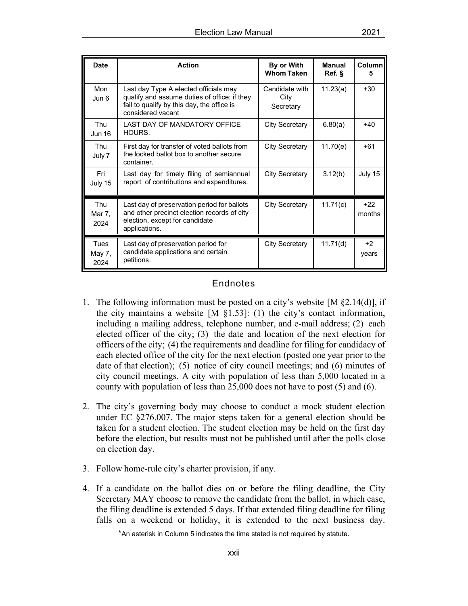| <b>Date</b>                  | <b>Action</b>                                                                                                                                            | By or With<br><b>Whom Taken</b>     | <b>Manual</b><br>Ref. § | Column<br>5     |
|------------------------------|----------------------------------------------------------------------------------------------------------------------------------------------------------|-------------------------------------|-------------------------|-----------------|
| Mon<br>Jun 6                 | Last day Type A elected officials may<br>qualify and assume duties of office; if they<br>fail to qualify by this day, the office is<br>considered vacant | Candidate with<br>City<br>Secretary | 11.23(a)                | $+30$           |
| <b>Thu</b><br><b>Jun 16</b>  | LAST DAY OF MANDATORY OFFICE<br>HOURS.                                                                                                                   | City Secretary                      | 6.80(a)                 | $+40$           |
| Thu<br>July 7                | First day for transfer of voted ballots from<br>the locked ballot box to another secure<br>container.                                                    | City Secretary                      | 11.70(e)                | $+61$           |
| Fri<br>July 15               | Last day for timely filing of semiannual<br>report of contributions and expenditures.                                                                    | <b>City Secretary</b>               | 3.12(b)                 | July 15         |
| <b>Thu</b><br>Mar 7,<br>2024 | Last day of preservation period for ballots<br>and other precinct election records of city<br>election, except for candidate<br>applications.            | <b>City Secretary</b>               | 11.71(c)                | $+22$<br>months |
| Tues<br>May 7,<br>2024       | Last day of preservation period for<br>candidate applications and certain<br>petitions.                                                                  | <b>City Secretary</b>               | 11.71(d)                | $+2$<br>years   |

## Endnotes

- 1. The following information must be posted on a city's website [M §2.14(d)], if the city maintains a website  $[M \S 1.53]$ : (1) the city's contact information, including a mailing address, telephone number, and e-mail address; (2) each elected officer of the city; (3) the date and location of the next election for officers of the city; (4) the requirements and deadline for filing for candidacy of each elected office of the city for the next election (posted one year prior to the date of that election); (5) notice of city council meetings; and (6) minutes of city council meetings. A city with population of less than 5,000 located in a county with population of less than 25,000 does not have to post (5) and (6).
- 2. The city's governing body may choose to conduct a mock student election under EC §276.007. The major steps taken for a general election should be taken for a student election. The student election may be held on the first day before the election, but results must not be published until after the polls close on election day.
- 3. Follow home-rule city's charter provision, if any.
- 4. If a candidate on the ballot dies on or before the filing deadline, the City Secretary MAY choose to remove the candidate from the ballot, in which case, the filing deadline is extended 5 days. If that extended filing deadline for filing falls on a weekend or holiday, it is extended to the next business day.